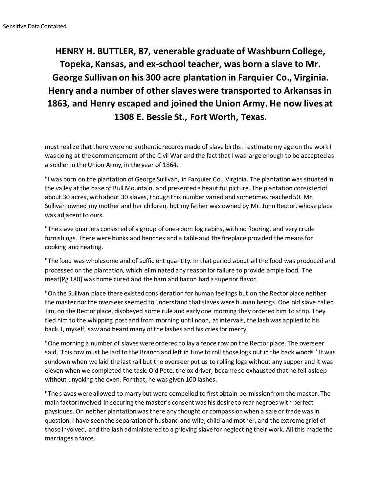## **HENRY H. BUTTLER, 87, venerable graduate of Washburn College, Topeka, Kansas, and ex-school teacher, was born a slave to Mr. George Sullivan on his 300 acre plantation in Farquier Co., Virginia. Henry and a number of other slaves were transported to Arkansas in 1863, and Henry escaped and joined the Union Army. He now lives at 1308 E. Bessie St., Fort Worth, Texas.**

must realize that there were no authentic records made of slave births. I estimate my age on the work I was doing at the commencement of the Civil War and the fact that I was large enough to be accepted as a soldier in the Union Army, in the year of 1864.

"I was born on the plantation of George Sullivan, in Farquier Co., Virginia. The plantation was situated in the valley at the base of Bull Mountain, and presented a beautiful picture. The plantation consisted of about 30 acres, with about 30 slaves, though this number varied and sometimes reached 50. Mr. Sullivan owned my mother and her children, but my father was owned by Mr. John Rector, whose place was adjacent to ours.

"The slave quarters consisted of a group of one-room log cabins, with no flooring, and very crude furnishings. There were bunks and benches and a table and the fireplace provided the means for cooking and heating.

"The food was wholesome and of sufficient quantity. In that period about all the food was produced and processed on the plantation, which eliminated any reason for failure to provide ample food. The meat[Pg 180] was home cured and the ham and bacon had a superior flavor.

"On the Sullivan place there existed consideration for human feelings but on the Rector place neither the master nor the overseer seemed to understand that slaves were human beings. One old slave called Jim, on the Rector place, disobeyed some rule and early one morning they ordered him to strip. They tied him to the whipping post and from morning until noon, at intervals, the lash was applied to his back. I, myself, saw and heard many of the lashes and his cries for mercy.

"One morning a number of slaves were ordered to lay a fence row on the Rector place. The overseer said, 'This row must be laid to the Branch and left in time to roll those logs out in the back woods.' It was sundown when we laid the last rail but the overseer put us to rolling logs without any supper and it was eleven when we completed the task. Old Pete, the ox driver, became so exhausted that he fell asleep without unyoking the oxen. For that, he was given 100 lashes.

"The slaves were allowed to marry but were compelled to first obtain permission from the master. The main factor involved in securing the master's consent was his desire to rear negroes with perfect physiques. On neither plantation was there any thought or compassion when a sale or trade was in question. I have seen the separation of husband and wife, child and mother, and the extreme grief of those involved, and the lash administered to a grieving slave for neglecting their work. All this made the marriages a farce.